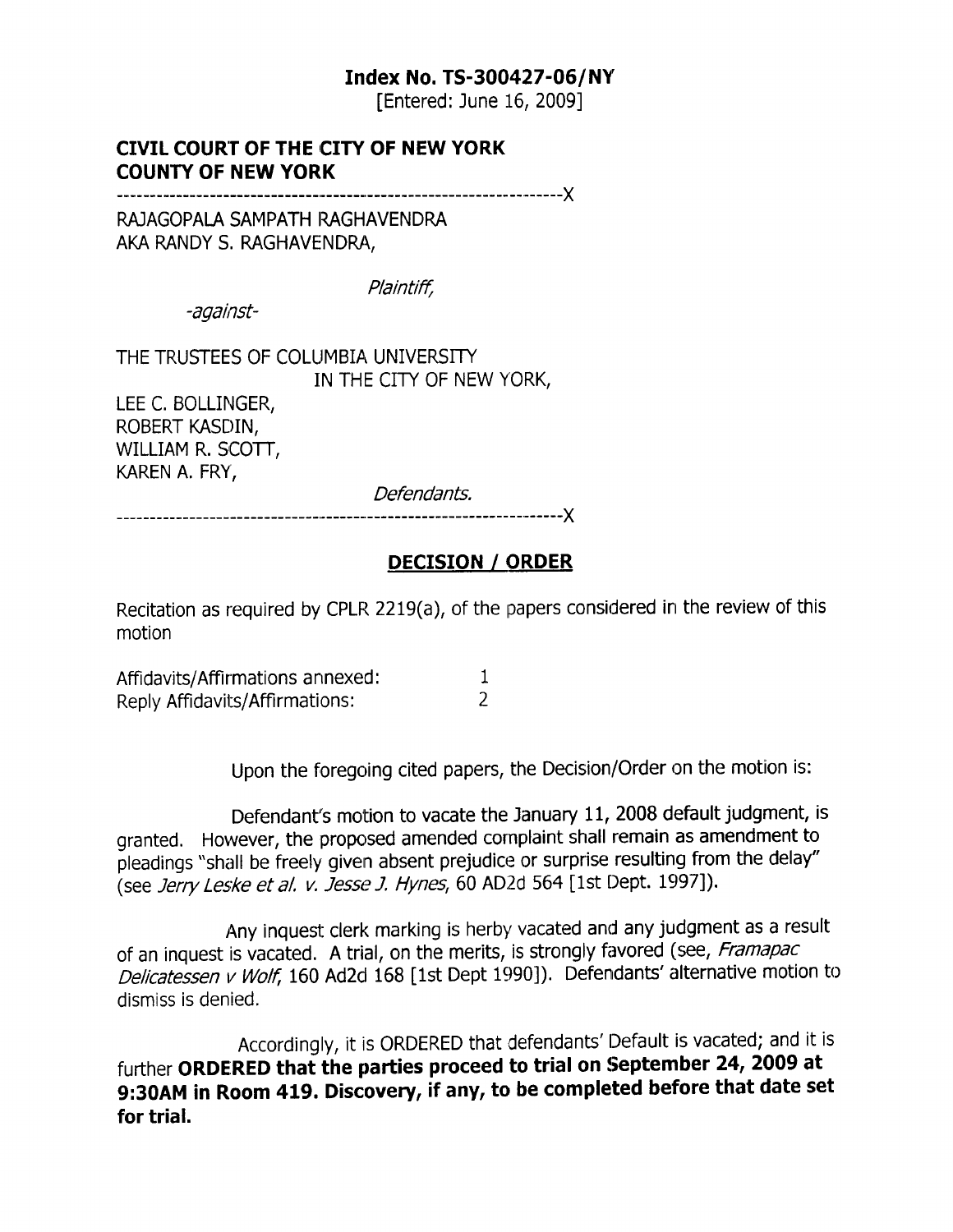#### Index No. TS-300427-06/NY

fEntered: June 16, 2009]

#### CIVIL COURT OF THE CITY OF NEW YORK COUNTY OF NEW YORK

-----x

RAJAGOPALA SAMPATH RAGHAVENDRA AKA RANDY S. RAGHAVENDRA,

Plaintiff,

-against-

THE TRUSTEES OF COLUMBIA UNIVERSITY. IN THE CITY OF NEW YORK, LEE C. BOLLINGER, ROBERT KASDIN,

WILLIAM R. SCOTT, KAREN A. FRY,

?::::: :\_\_\_.... \_\_\_\_\_x

#### DECISION / ORDER

Recitation as required by CPLR 2219(a), of the papers considered in the review of this motion

| Affidavits/Affirmations annexed: |  |
|----------------------------------|--|
| Reply Affidavits/Affirmations:   |  |

Upon the foregoing cited papers, the Decision/Order on the motion is:

Defendant's motion to vacate the January 11, 2008 default judgment, is granted. However, the proposed amended complaint shall remain as amendment to pleadings "shall be freely given absent prejudice or surprise resulting from the delay" (see Jerry Leske et al. v. Jesse J. Hynes, 60 AD2d 564 [1st Dept. 1997]).

Any inquest clerk marking is herby vacated and any judgment as a result of an inquest is vacated. A trial, on the merits, is strongly favored (see, Framapac Delicatessen v Wolf, 160 Ad2d 168 [1st Dept 1990]). Defendants' alternative motion to dismiss is denied.

Accordingly, it is ORDERED that defendants'Default is vacated; and it is further ORDERED that the parties proceed to trial on September 24, 2009 at 9:30AM in Room 419. Discovery, if any, to be completed before that date set for trial.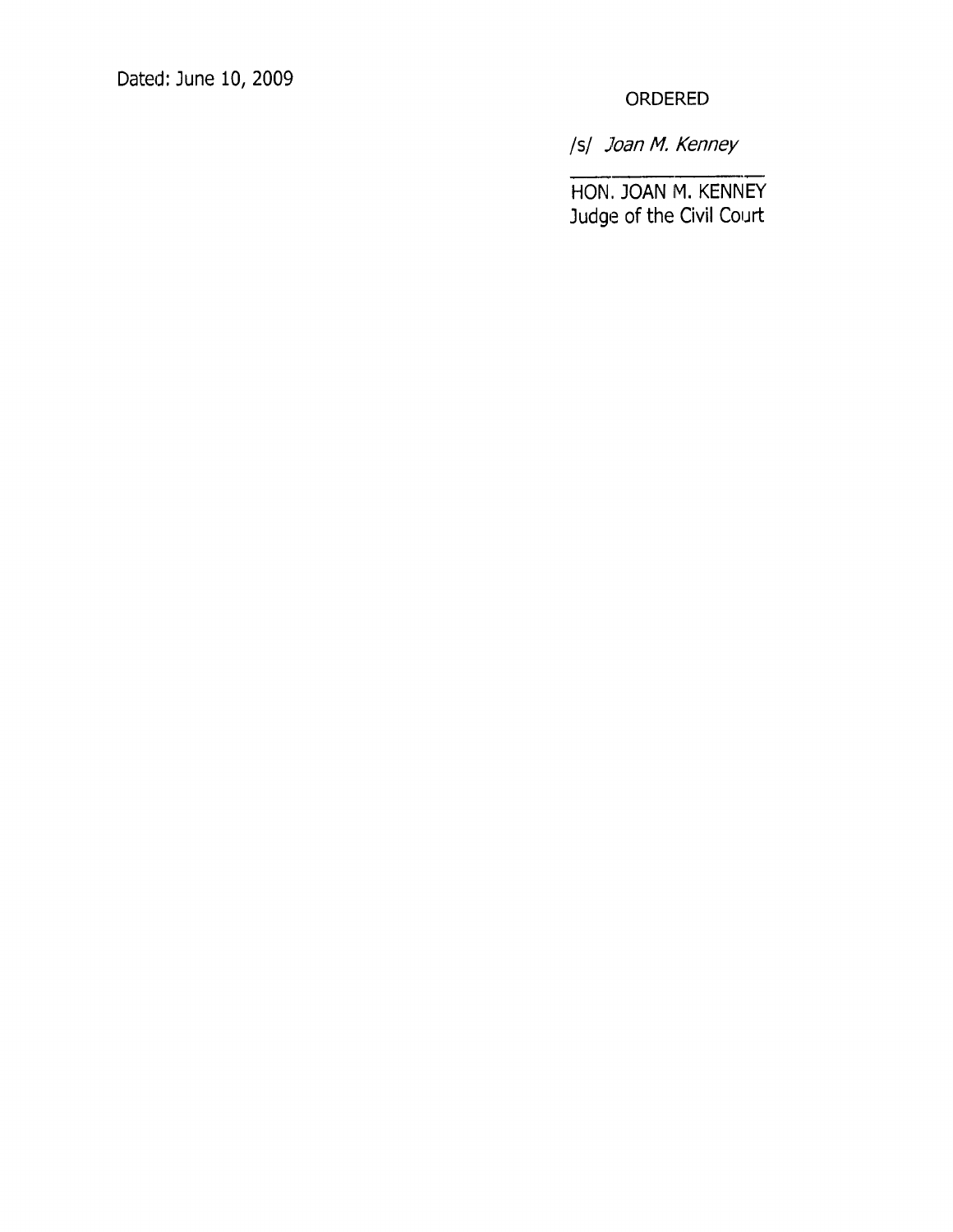Dated: June 10, 2009

ORDERED

lsl Joan M. Kenney

HON, JOAN M. KENNEY Judge of the Civil Court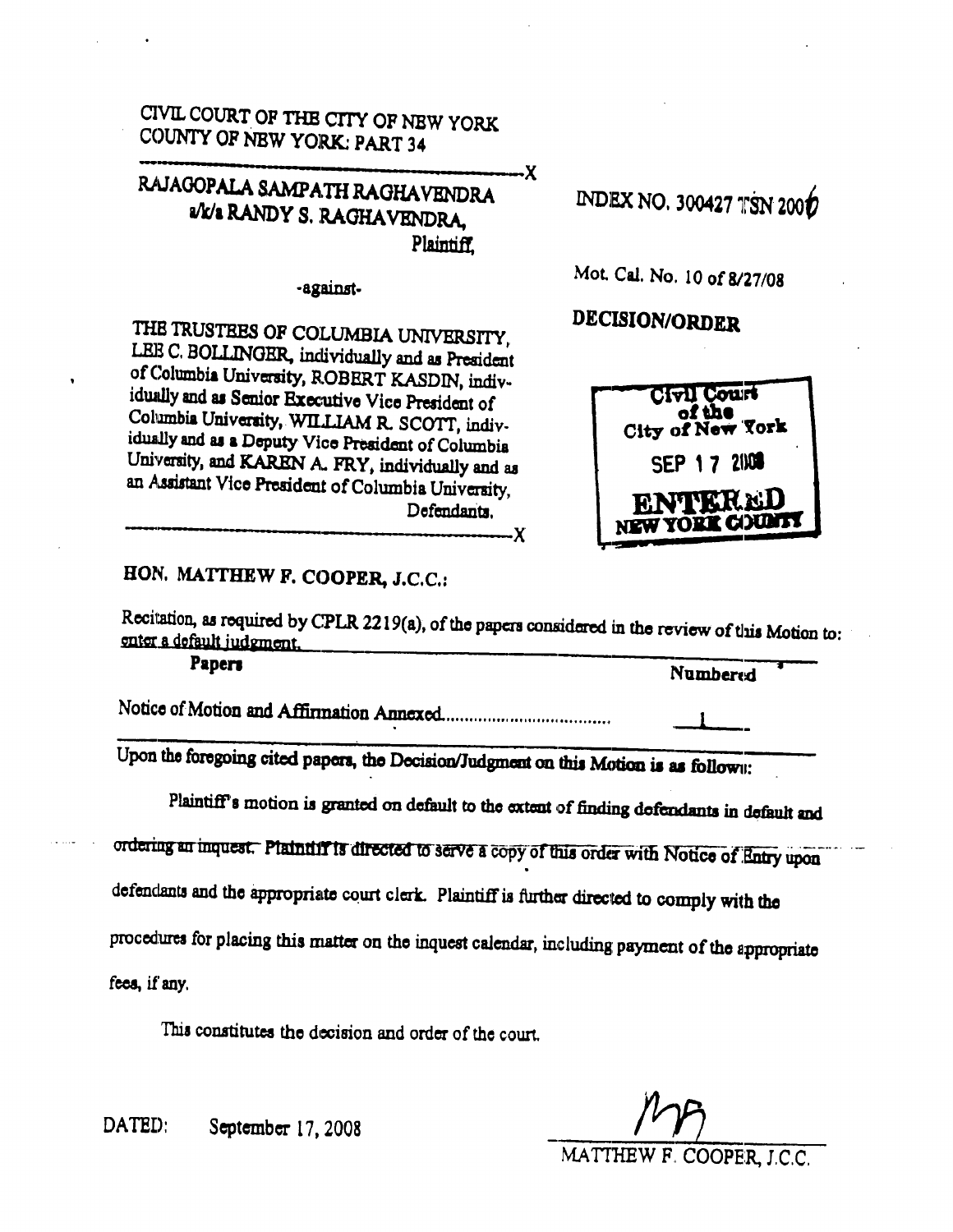CIVIL COURT OF THE CITY OF NEW YORK COUNTY OF NEW YORK: PART 34

## RAJAGOPALA SAMPATH RAGHAVENDRA vk/2 RANDY S. RAGHAVENDRA, Plaintiff.

-against-

THE TRUSTEES OF COLUMBIA UNIVERSITY, LEB C. BOLLINGER, individually and as President of Columbia University, ROBERT KASDIN, individually and as Senior Executive Vice President of Columbia University, WILLIAM R. SCOTT, individually and as a Deputy Vice President of Columbia University, and KAREN A. FRY, individually and as an Assistant Vice President of Columbia University, Defendants.

-Х

.х

HON. MATTHEW F. COOPER, J.C.C.:

Recitation, as required by CPLR 2219(a), of the papers considered in the review of this Motion to: enter a default judgment.

| Papers | Numbered |
|--------|----------|
|        |          |

Upon the foregoing cited papers, the Decision/Judgment on this Motion is as follown:

Plaintiff's motion is granted on default to the extent of finding defendants in default and

ordering an inquest. Plaintiff is directed to serve a copy of this order with Notice of Entry upon

defendants and the appropriate court clerk. Plaintiff is further directed to comply with the

procedures for placing this matter on the inquest calendar, including payment of the appropriate

fees, if any.

This constitutes the decision and order of the court.

DATED: September 17, 2008

MATTHEW F. COOPER, J.C.C.



Mot. Cal. No. 10 of 8/27/08

DECISION/ORDER

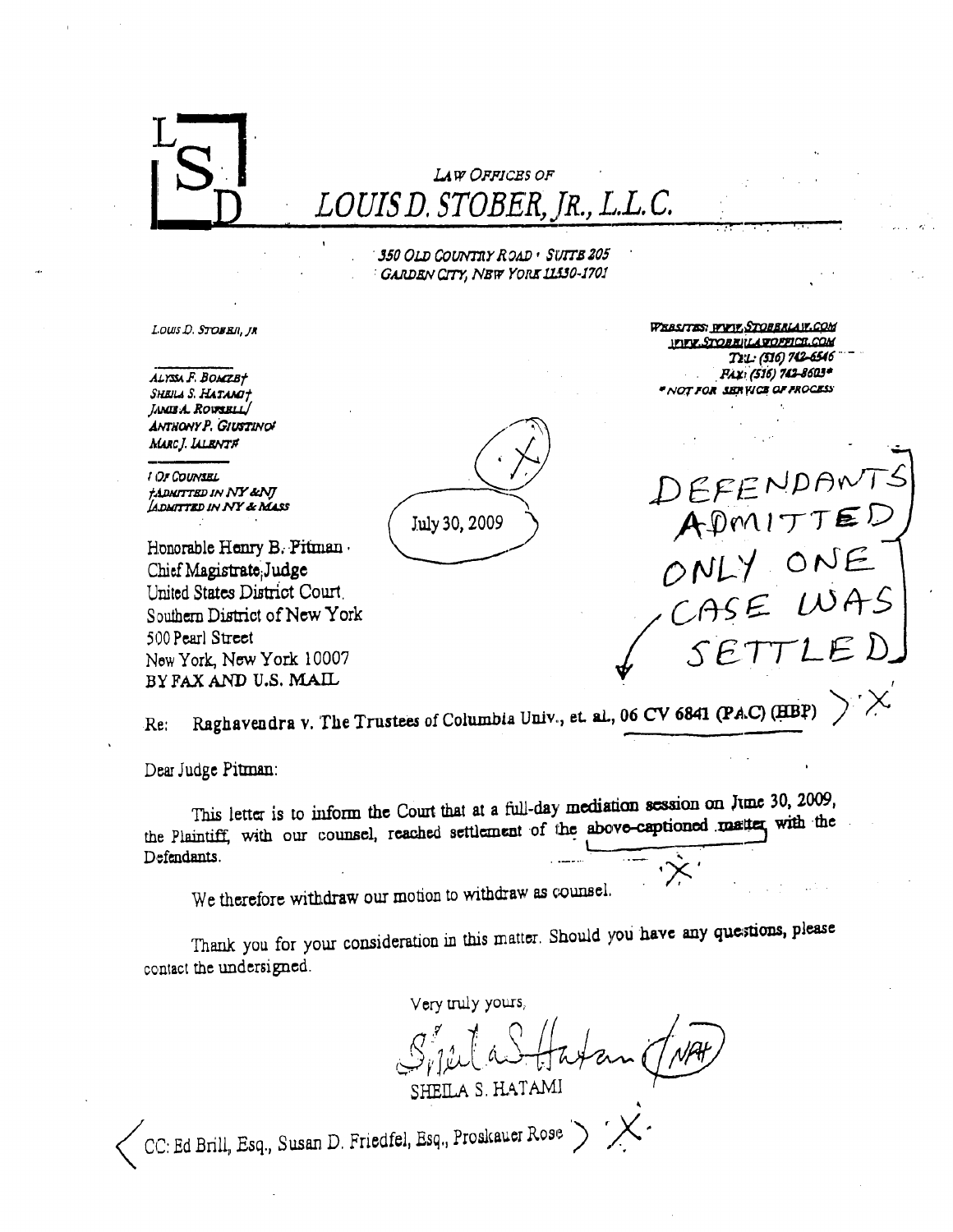

Dear Judge Pitman:

This letter is to inform the Court that at a full-day mediation session on June 30, 2009, the Plaintiff, with our counsel, reached settlement of the above-captioned matter with the Defendants.

We therefore withdraw our motion to withdraw as counsel.

Thank you for your consideration in this matter. Should you have any questions, please contact the undersigned.

Very truly yours,

SHEILA S. HATAMI

CC: Ed Brill, Esq., Susan D. Friedfel, Esq., Proskauer Rose >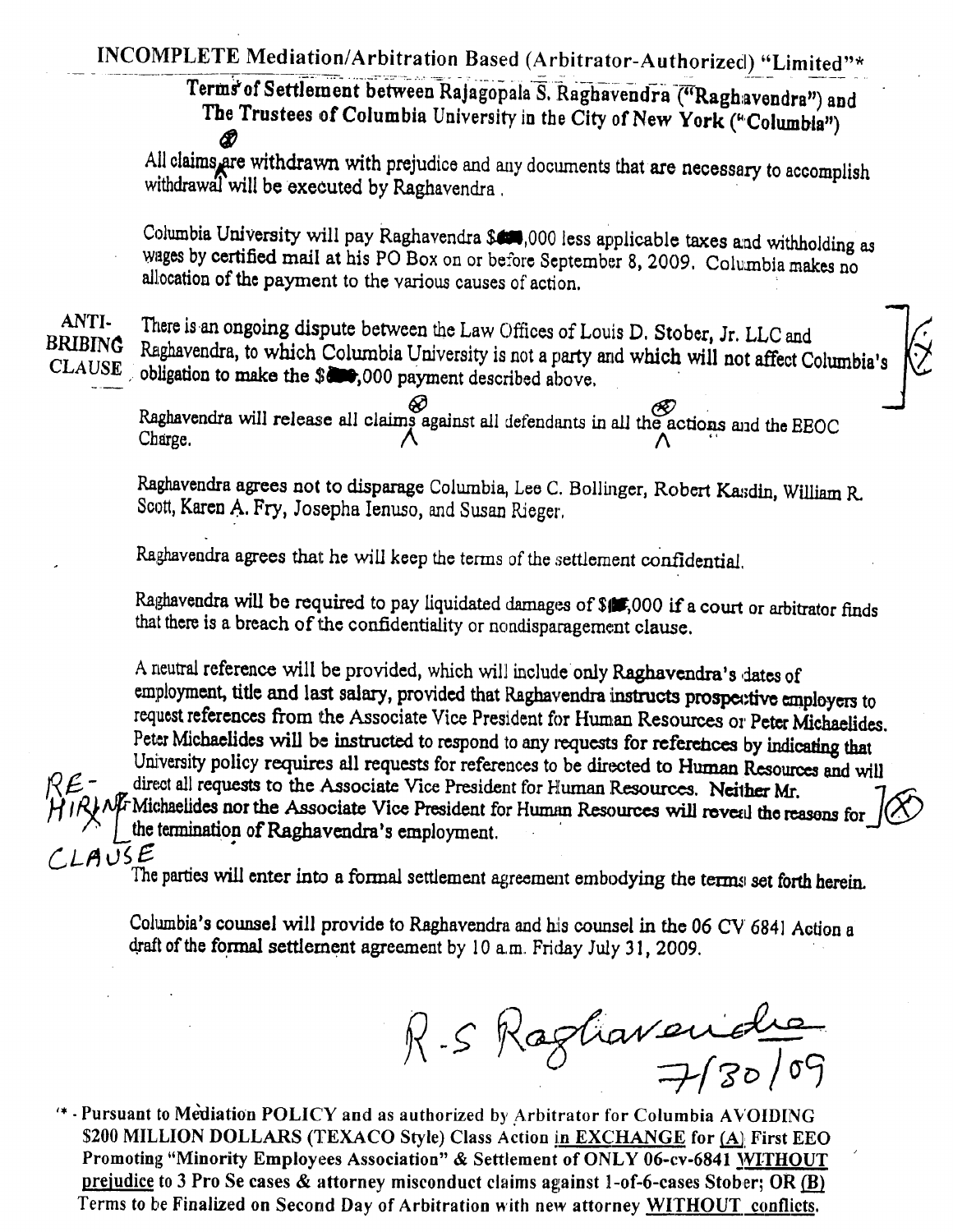INCOMPLETE Mediation/Arbitration Based (Arbitrator-Authorized) "Limited"\*

Terms of Settlement between Rajagopala S. Raghavendra ("Raghavendra") and The Trustees of Columbia University in the City of New York ("Columbia") Æ

All claims are withdrawn with prejudice and any documents that are necessary to accomplish withdrawal will be executed by Raghavendra.

Columbia University will pay Raghavendra \$4,000 less applicable taxes and withholding as wages by certified mail at his PO Box on or before September 8, 2009. Columbia makes no allocation of the payment to the various causes of action.

# ANTI-**BRIBING**

There is an ongoing dispute between the Law Offices of Louis D. Stober, Jr. LLC and Raghavendra, to which Columbia University is not a party and which will not affect Columbia's CLAUSE obligation to make the \$000,000 payment described above.

Raghavendra will release all claims against all defendants in all the actions and the EEOC Charge

Raghavendra agrees not to disparage Columbia, Lee C. Bollinger, Robert Kasdin, William R. Scott, Karen A. Fry, Josepha Ienuso, and Susan Rieger.

Raghavendra agrees that he will keep the terms of the settlement confidential.

Raghavendra will be required to pay liquidated damages of \$1,000 if a court or arbitrator finds that there is a breach of the confidentiality or nondisparagement clause.

A neutral reference will be provided, which will include only Raghavendra's dates of employment, title and last salary, provided that Raghavendra instructs prospective employers to request references from the Associate Vice President for Human Resources or Peter Michaelides. Peter Michaelides will be instructed to respond to any requests for references by indicating that University policy requires all requests for references to be directed to Human Resources and will direct all requests to the Associate Vice President for Human Resources. Neither Mr.  $\mathcal{M}$ . Michaelides nor the Associate Vice President for Human Resources will reveal the reasons for the termination of Raghavendra's employment.  $A\cup S$  $E$ 

The parties will enter into a formal settlement agreement embodying the terms set forth herein.

Columbia's counsel will provide to Raghavendra and his counsel in the 06 CV 6841 Action a draft of the formal settlement agreement by  $10$  a.m. Friday July 31, 2009.

 $R-SRagliavcaidehe$ 

'\* - Pursuant to Mediation POLICY and as authorized by Arbitrator for Columbia AVOIDING \$200 MILLION DOLLARS (TEXACO Style) Class Action in EXCHANGE for (A) First EEO Promoting "Minority Employees Association" & Settlement of ONLY 06-cv-6841 WITHOUT prejudice to 3 Pro Se cases & attorney misconduct claims against 1-of-6-cases Stober; OR (B) Terms to be Finalized on Second Day of Arbitration with new attorney WITHOUT conflicts.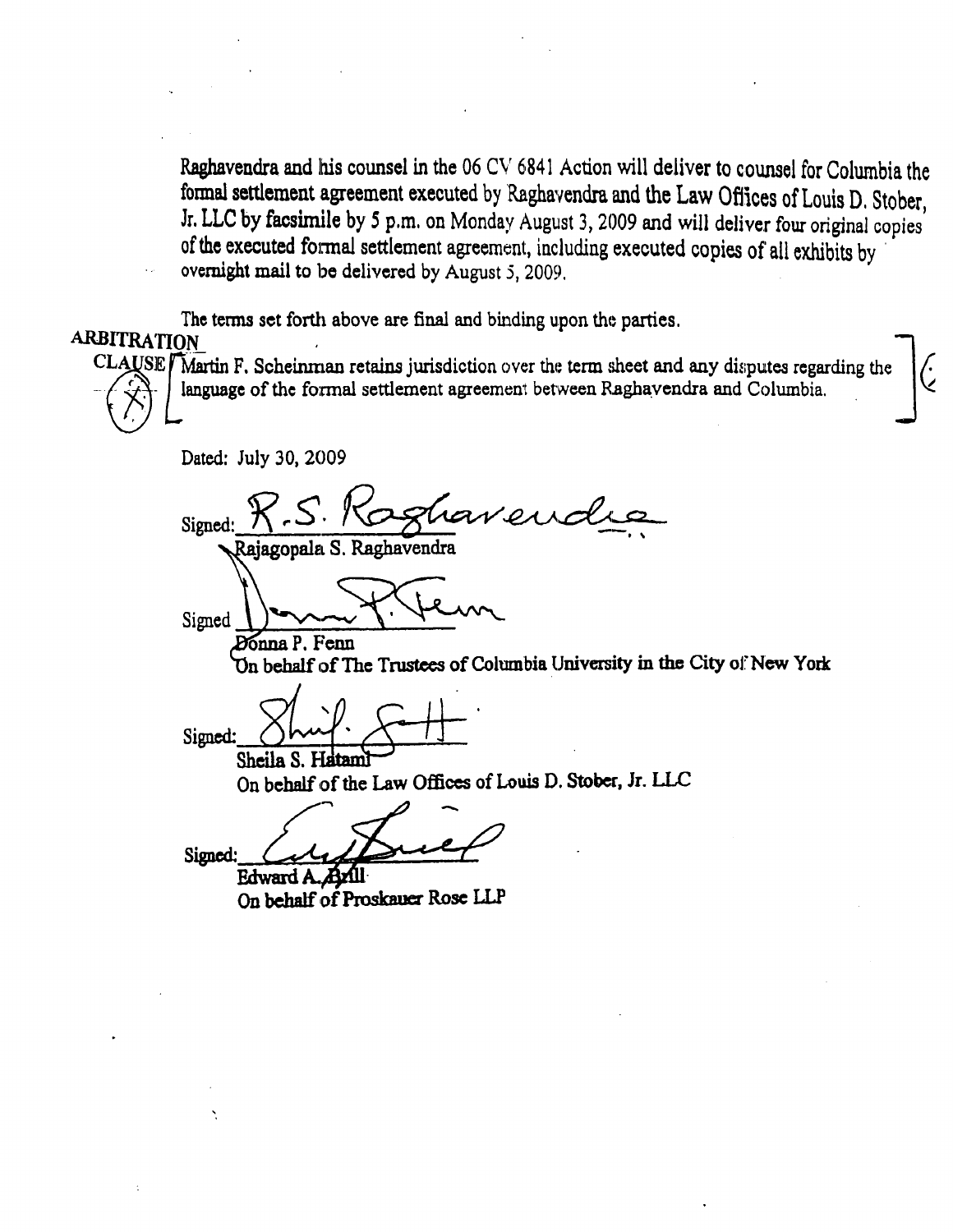Raghavendra and his counsel in the 06 CV 6841 Action will deliver to counsel for Columbia the formal settlement agreement executed by Raghavendra and the Law Offices of Louis D. Stober. Jr. LLC by facsimile by 5 p.m. on Monday August 3, 2009 and will deliver four original copies of the executed formal settlement agreement, including executed copies of all exhibits by overnight mail to be delivered by August 5, 2009.

The terms set forth above are final and binding upon the parties.

### **ARBITRATION**

CLAUSE / Martin F. Scheinman retains jurisdiction over the term sheet and any disputes regarding the language of the formal settlement agreement between Raghavendra and Columbia.

Dated: July 30, 2009

Signed: Rajagopala S. Raghavendra

Signed Donna P. Fenn

On behalf of The Trustees of Columbia University in the City of New York

Signed: Sheila S. Hatam

On behalf of the Law Offices of Louis D. Stober, Jr. LLC

Signed:

Edward A On behalf of Proskauer Rose LLP